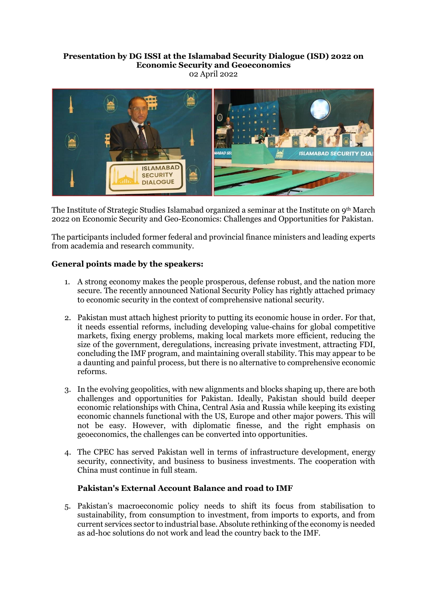### **Presentation by DG ISSI at the Islamabad Security Dialogue (ISD) 2022 on Economic Security and Geoeconomics** 02 April 2022



The Institute of Strategic Studies Islamabad organized a seminar at the Institute on 9th March 2022 on Economic Security and Geo-Economics: Challenges and Opportunities for Pakistan.

The participants included former federal and provincial finance ministers and leading experts from academia and research community.

# **General points made by the speakers:**

- 1. A strong economy makes the people prosperous, defense robust, and the nation more secure. The recently announced National Security Policy has rightly attached primacy to economic security in the context of comprehensive national security.
- 2. Pakistan must attach highest priority to putting its economic house in order. For that, it needs essential reforms, including developing value-chains for global competitive markets, fixing energy problems, making local markets more efficient, reducing the size of the government, deregulations, increasing private investment, attracting FDI, concluding the IMF program, and maintaining overall stability. This may appear to be a daunting and painful process, but there is no alternative to comprehensive economic reforms.
- 3. In the evolving geopolitics, with new alignments and blocks shaping up, there are both challenges and opportunities for Pakistan. Ideally, Pakistan should build deeper economic relationships with China, Central Asia and Russia while keeping its existing economic channels functional with the US, Europe and other major powers. This will not be easy. However, with diplomatic finesse, and the right emphasis on geoeconomics, the challenges can be converted into opportunities.
- 4. The CPEC has served Pakistan well in terms of infrastructure development, energy security, connectivity, and business to business investments. The cooperation with China must continue in full steam.

# **Pakistan's External Account Balance and road to IMF**

5. Pakistan's macroeconomic policy needs to shift its focus from stabilisation to sustainability, from consumption to investment, from imports to exports, and from current services sector to industrial base. Absolute rethinking of the economy is needed as ad-hoc solutions do not work and lead the country back to the IMF.